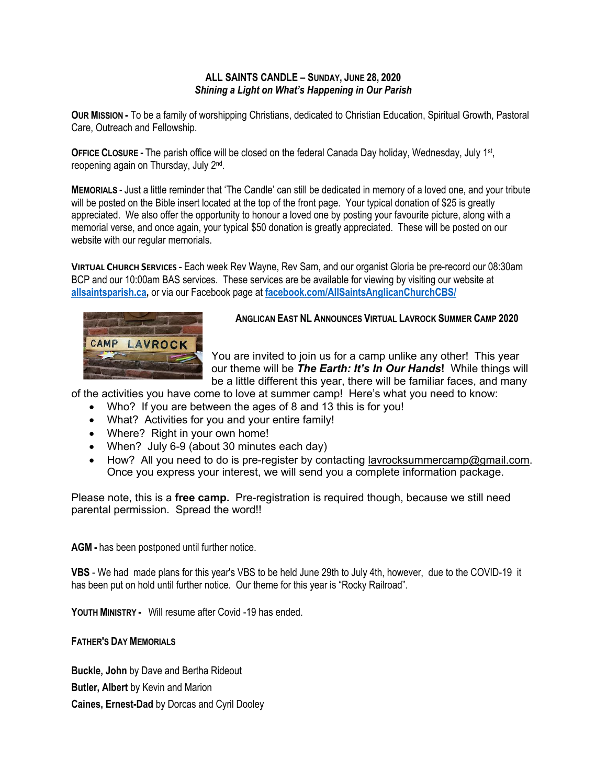## **ALL SAINTS CANDLE – SUNDAY, JUNE 28, 2020** *Shining a Light on What's Happening in Our Parish*

**OUR MISSION -** To be a family of worshipping Christians, dedicated to Christian Education, Spiritual Growth, Pastoral Care, Outreach and Fellowship.

**OFFICE CLOSURE -** The parish office will be closed on the federal Canada Day holiday, Wednesday, July 1st, reopening again on Thursday, July 2nd.

**MEMORIALS** - Just a little reminder that 'The Candle' can still be dedicated in memory of a loved one, and your tribute will be posted on the Bible insert located at the top of the front page. Your typical donation of \$25 is greatly appreciated. We also offer the opportunity to honour a loved one by posting your favourite picture, along with a memorial verse, and once again, your typical \$50 donation is greatly appreciated. These will be posted on our website with our regular memorials.

**VIRTUAL CHURCH SERVICES -** Each week Rev Wayne, Rev Sam, and our organist Gloria be pre-record our 08:30am BCP and our 10:00am BAS services. These services are be available for viewing by visiting our website at **allsaintsparish.ca,** or via our Facebook page at **facebook.com/AllSaintsAnglicanChurchCBS/**



## **ANGLICAN EAST NL ANNOUNCES VIRTUAL LAVROCK SUMMER CAMP 2020**

You are invited to join us for a camp unlike any other! This year our theme will be *The Earth: It's In Our Hands***!** While things will be a little different this year, there will be familiar faces, and many

of the activities you have come to love at summer camp! Here's what you need to know:

- Who? If you are between the ages of 8 and 13 this is for you!
- What? Activities for you and your entire family!
- Where? Right in your own home!
- When? July 6-9 (about 30 minutes each day)
- How? All you need to do is pre-register by contacting lavrocksummercamp@gmail.com. Once you express your interest, we will send you a complete information package.

Please note, this is a **free camp.** Pre-registration is required though, because we still need parental permission. Spread the word!!

**AGM -** has been postponed until further notice.

**VBS** - We had made plans for this year's VBS to be held June 29th to July 4th, however, due to the COVID-19 it has been put on hold until further notice. Our theme for this year is "Rocky Railroad".

**YOUTH MINISTRY -** Will resume after Covid -19 has ended.

**FATHER'S DAY MEMORIALS**

**Buckle, John** by Dave and Bertha Rideout **Butler, Albert** by Kevin and Marion **Caines, Ernest-Dad** by Dorcas and Cyril Dooley